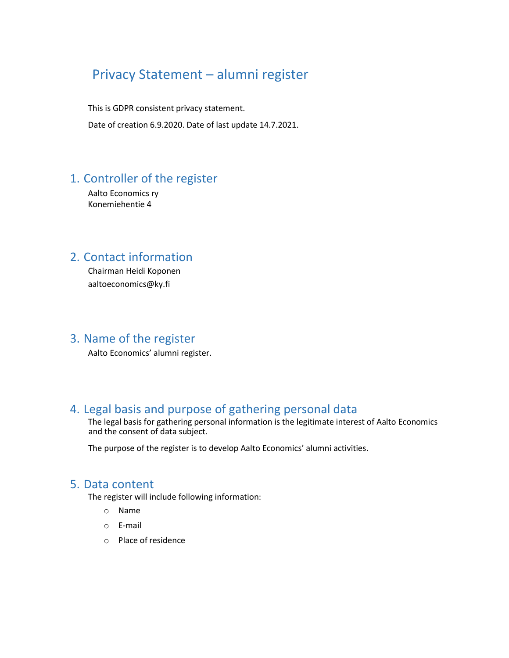# Privacy Statement – alumni register

This is GDPR consistent privacy statement. Date of creation 6.9.2020. Date of last update 14.7.2021.

## 1. Controller of the register

Aalto Economics ry Konemiehentie 4

### 2. Contact information

Chairman Heidi Koponen [aaltoeconomics@ky.fi](mailto:aaltoeconomics@kyweb.fi) 

### 3. Name of the register

Aalto Economics' alumni register.

### 4. Legal basis and purpose of gathering personal data

The legal basis for gathering personal information is the legitimate interest of Aalto Economics and the consent of data subject.

The purpose of the register is to develop Aalto Economics' alumni activities.

#### 5. Data content

The register will include following information:

- o Name
- o E-mail
- o Place of residence